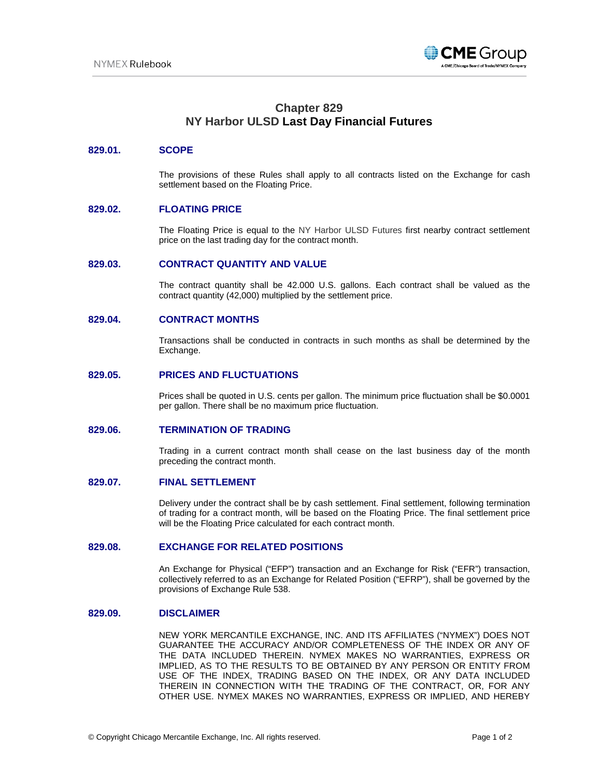

# **Chapter 829 NY Harbor ULSD Last Day Financial Futures**

#### **829.01. SCOPE**

The provisions of these Rules shall apply to all contracts listed on the Exchange for cash settlement based on the Floating Price.

## **829.02. FLOATING PRICE**

The Floating Price is equal to the NY Harbor ULSD Futures first nearby contract settlement price on the last trading day for the contract month.

## **829.03. CONTRACT QUANTITY AND VALUE**

The contract quantity shall be 42.000 U.S. gallons. Each contract shall be valued as the contract quantity (42,000) multiplied by the settlement price.

#### **829.04. CONTRACT MONTHS**

Transactions shall be conducted in contracts in such months as shall be determined by the Exchange.

#### **829.05. PRICES AND FLUCTUATIONS**

Prices shall be quoted in U.S. cents per gallon. The minimum price fluctuation shall be \$0.0001 per gallon. There shall be no maximum price fluctuation.

#### **829.06. TERMINATION OF TRADING**

Trading in a current contract month shall cease on the last business day of the month preceding the contract month.

#### **829.07. FINAL SETTLEMENT**

Delivery under the contract shall be by cash settlement. Final settlement, following termination of trading for a contract month, will be based on the Floating Price. The final settlement price will be the Floating Price calculated for each contract month.

#### **829.08. EXCHANGE FOR RELATED POSITIONS**

An Exchange for Physical ("EFP") transaction and an Exchange for Risk ("EFR") transaction, collectively referred to as an Exchange for Related Position ("EFRP"), shall be governed by the provisions of Exchange Rule 538.

#### **829.09. DISCLAIMER**

NEW YORK MERCANTILE EXCHANGE, INC. AND ITS AFFILIATES ("NYMEX") DOES NOT GUARANTEE THE ACCURACY AND/OR COMPLETENESS OF THE INDEX OR ANY OF THE DATA INCLUDED THEREIN. NYMEX MAKES NO WARRANTIES, EXPRESS OR IMPLIED, AS TO THE RESULTS TO BE OBTAINED BY ANY PERSON OR ENTITY FROM USE OF THE INDEX, TRADING BASED ON THE INDEX, OR ANY DATA INCLUDED THEREIN IN CONNECTION WITH THE TRADING OF THE CONTRACT, OR, FOR ANY OTHER USE. NYMEX MAKES NO WARRANTIES, EXPRESS OR IMPLIED, AND HEREBY